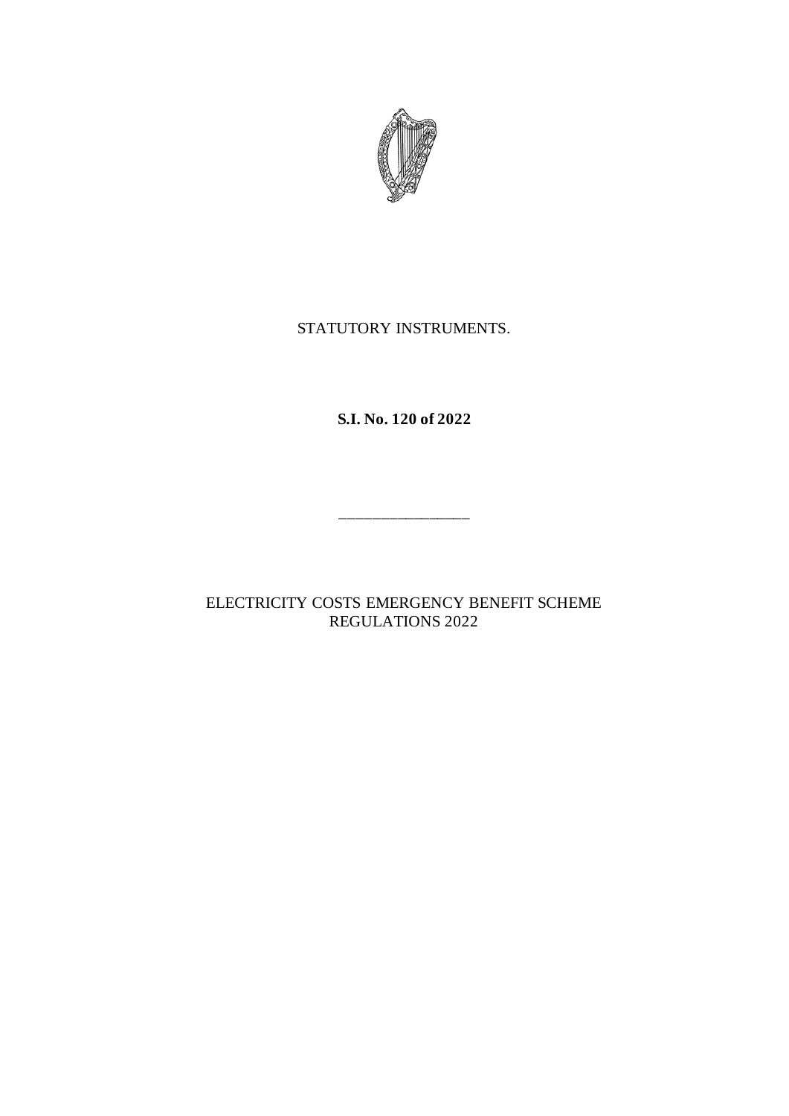

## STATUTORY INSTRUMENTS.

**S.I. No. 120 of 2022**

ELECTRICITY COSTS EMERGENCY BENEFIT SCHEME REGULATIONS 2022

\_\_\_\_\_\_\_\_\_\_\_\_\_\_\_\_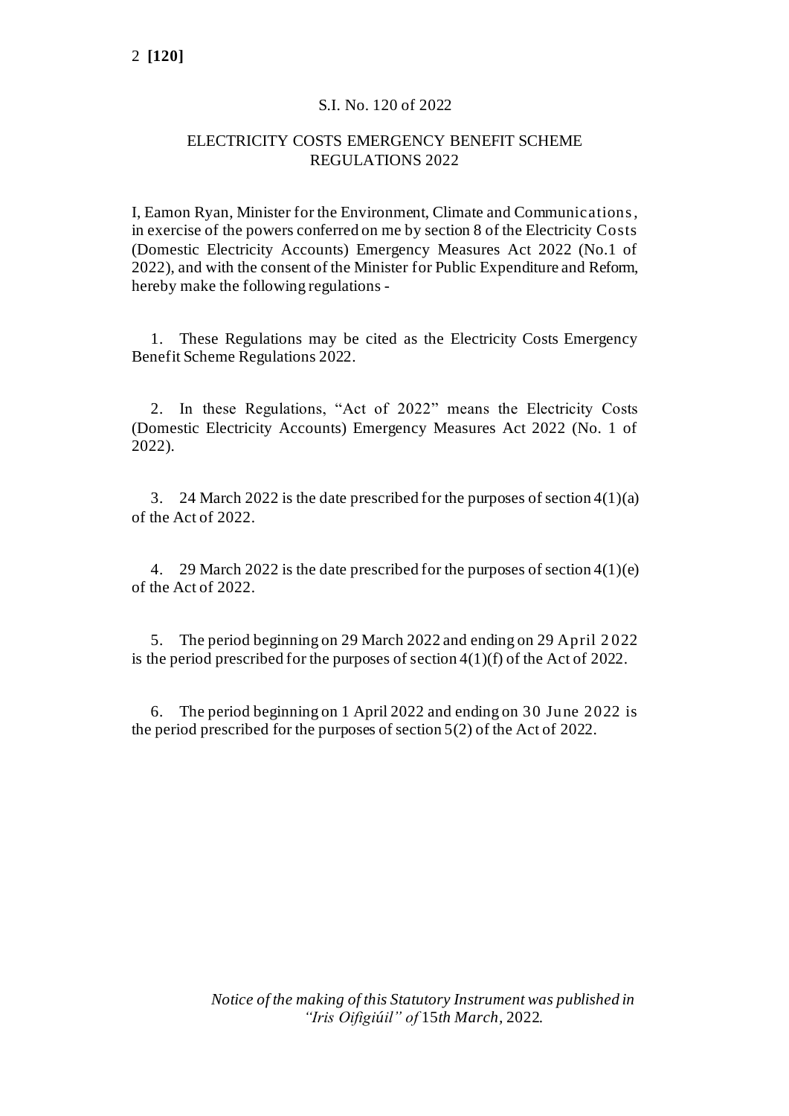## S.I. No. 120 of 2022

## ELECTRICITY COSTS EMERGENCY BENEFIT SCHEME REGULATIONS 2022

I, Eamon Ryan, Minister for the Environment, Climate and Communications, in exercise of the powers conferred on me by section 8 of the Electricity Costs (Domestic Electricity Accounts) Emergency Measures Act 2022 (No.1 of 2022), and with the consent of the Minister for Public Expenditure and Reform, hereby make the following regulations -

1. These Regulations may be cited as the Electricity Costs Emergency Benefit Scheme Regulations 2022.

2. In these Regulations, "Act of 2022" means the Electricity Costs (Domestic Electricity Accounts) Emergency Measures Act 2022 (No. 1 of 2022).

3. 24 March 2022 is the date prescribed for the purposes of section  $4(1)(a)$ of the Act of 2022.

4. 29 March 2022 is the date prescribed for the purposes of section 4(1)(e) of the Act of 2022.

5. The period beginning on 29 March 2022 and ending on 29 April 2 022 is the period prescribed for the purposes of section 4(1)(f) of the Act of 2022.

6. The period beginning on 1 April 2022 and ending on 30 June 2022 is the period prescribed for the purposes of section 5(2) of the Act of 2022.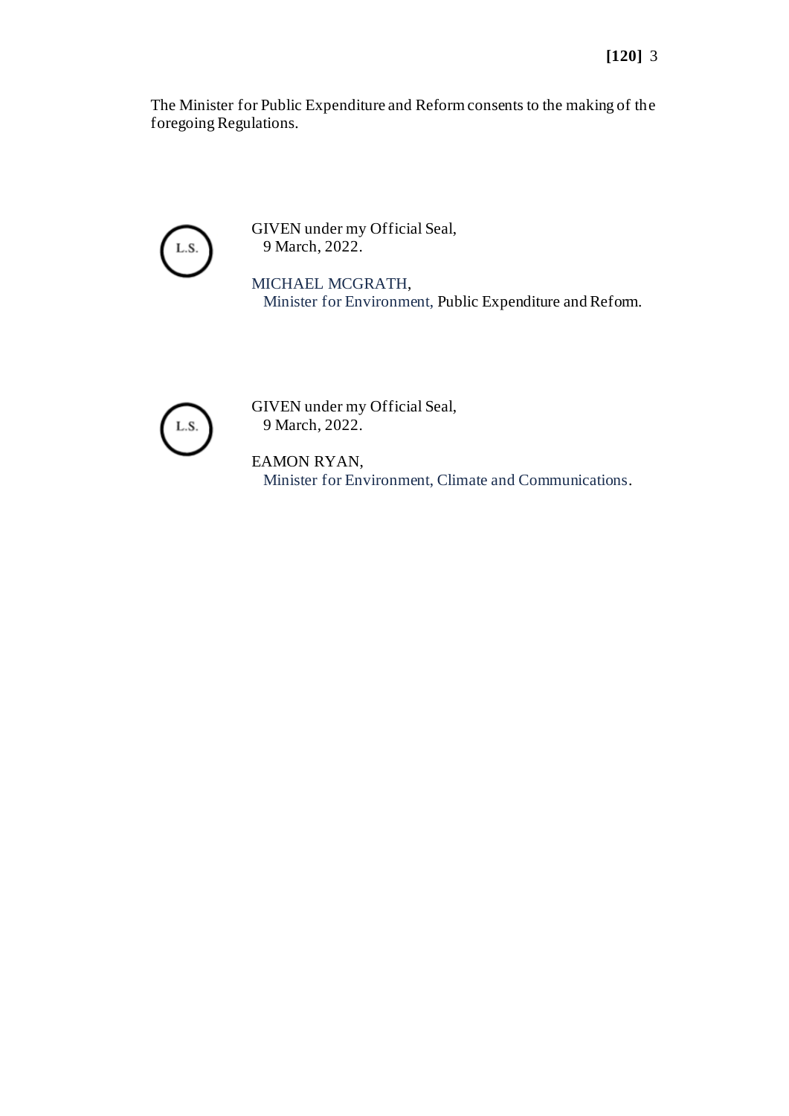The Minister for Public Expenditure and Reform consents to the making of the foregoing Regulations.



GIVEN under my Official Seal, 9 March, 2022.

MICHAEL MCGRATH, Minister for Environment, Public Expenditure and Reform.



GIVEN under my Official Seal, 9 March, 2022.

EAMON RYAN, Minister for Environment, Climate and Communications.